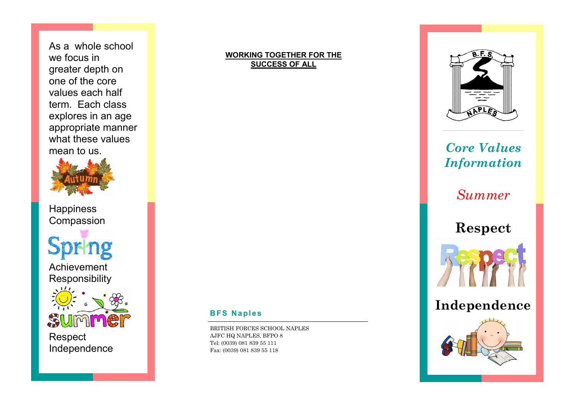As a whole school we focus in greater depth on one of the core values each half term. Each class explores in an age appropriate manner what these values mean to us.



**Happiness** Compassion

Achievement Responsibility



Respect Independence

## **WORKING TOGETHER FOR THE SUCCESS OF ALL**



*Core Values Information*

*Summer*

**Respect**



**Independence**



## **BFS Naples**

BRITISH FORCES SCHOOL NAPLES AJFC HQ NAPLES, BFPO 8 Tel: (0039) 081 839 55 111 Fax: (0039) 081 839 55 118